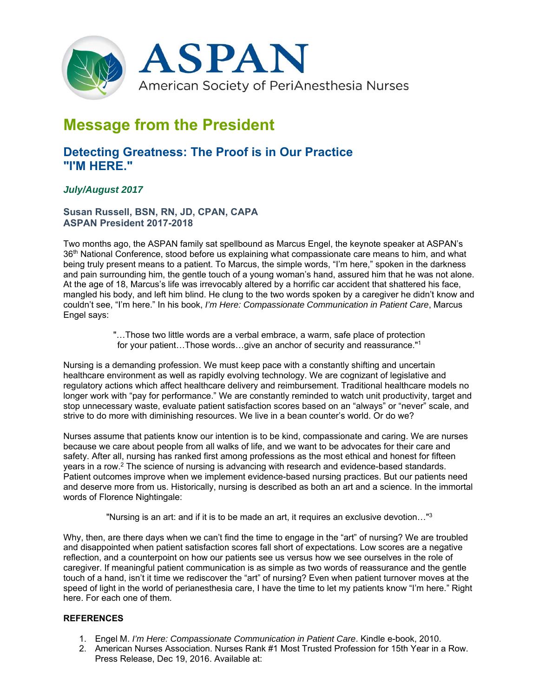

# **Message from the President**

# **Detecting Greatness: The Proof is in Our Practice "I'M HERE."**

## *July/August 2017*

### **Susan Russell, BSN, RN, JD, CPAN, CAPA ASPAN President 2017-2018**

Two months ago, the ASPAN family sat spellbound as Marcus Engel, the keynote speaker at ASPAN's 36<sup>th</sup> National Conference, stood before us explaining what compassionate care means to him, and what being truly present means to a patient. To Marcus, the simple words, "I'm here," spoken in the darkness and pain surrounding him, the gentle touch of a young woman's hand, assured him that he was not alone. At the age of 18, Marcus's life was irrevocably altered by a horrific car accident that shattered his face, mangled his body, and left him blind. He clung to the two words spoken by a caregiver he didn't know and couldn't see, "I'm here." In his book, *I'm Here: Compassionate Communication in Patient Care*, Marcus Engel says:

> "…Those two little words are a verbal embrace, a warm, safe place of protection for your patient…Those words…give an anchor of security and reassurance."1

Nursing is a demanding profession. We must keep pace with a constantly shifting and uncertain healthcare environment as well as rapidly evolving technology. We are cognizant of legislative and regulatory actions which affect healthcare delivery and reimbursement. Traditional healthcare models no longer work with "pay for performance." We are constantly reminded to watch unit productivity, target and stop unnecessary waste, evaluate patient satisfaction scores based on an "always" or "never" scale, and strive to do more with diminishing resources. We live in a bean counter's world. Or do we?

Nurses assume that patients know our intention is to be kind, compassionate and caring. We are nurses because we care about people from all walks of life, and we want to be advocates for their care and safety. After all, nursing has ranked first among professions as the most ethical and honest for fifteen years in a row.2 The science of nursing is advancing with research and evidence-based standards. Patient outcomes improve when we implement evidence-based nursing practices. But our patients need and deserve more from us. Historically, nursing is described as both an art and a science. In the immortal words of Florence Nightingale:

"Nursing is an art: and if it is to be made an art, it requires an exclusive devotion…"3

Why, then, are there days when we can't find the time to engage in the "art" of nursing? We are troubled and disappointed when patient satisfaction scores fall short of expectations. Low scores are a negative reflection, and a counterpoint on how our patients see us versus how we see ourselves in the role of caregiver. If meaningful patient communication is as simple as two words of reassurance and the gentle touch of a hand, isn't it time we rediscover the "art" of nursing? Even when patient turnover moves at the speed of light in the world of perianesthesia care, I have the time to let my patients know "I'm here." Right here. For each one of them.

#### **REFERENCES**

- 1. Engel M. *I'm Here: Compassionate Communication in Patient Care*. Kindle e-book, 2010.
- 2. American Nurses Association. Nurses Rank #1 Most Trusted Profession for 15th Year in a Row. Press Release, Dec 19, 2016. Available at: